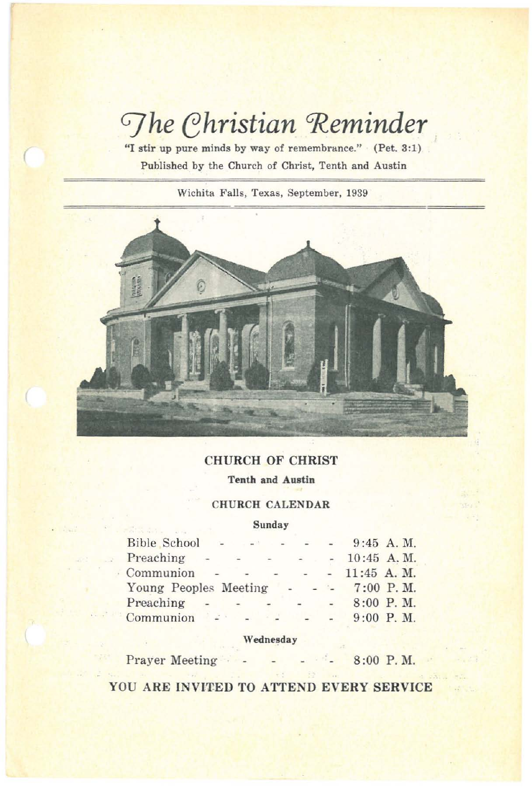# *<u>Ghristian Reminder</u>*

**"I stir up pure minds by way of remembrance."** (Pet. 3:1) **Published by the Church of Christ, Tenth and Austin**

 $\big($ 

**Wichita Falls, Texas, September, 1939**



# CHURCH OF CHRIST

**Tenth and Austin**

## CHURCH CALENDAR

#### **Sunday**

| Bible School           | $\sim$         | $  +$             |                          | $\sim$ |               | $9:45$ A.M.   |
|------------------------|----------------|-------------------|--------------------------|--------|---------------|---------------|
| Preaching              | $\sim$         | $\qquad \qquad -$ | $\frac{1}{2}$            | $\sim$ |               | 10:45 A.M.    |
| Communion              |                |                   |                          |        |               | $11:45$ A. M. |
| Young Peoples Meeting  |                |                   |                          |        |               | $7:00$ P.M.   |
| Preaching              | $\overline{a}$ |                   | $\overline{\phantom{0}}$ |        | $\rightarrow$ | $8:00$ P.M.   |
| $Common$ $\rightarrow$ |                |                   |                          |        |               | $9:00$ P.M.   |

## Wednesday

Prayer Meeting 8:00 P. M.

YOU ARE INVITED TO ATTEND EVERY SERVICE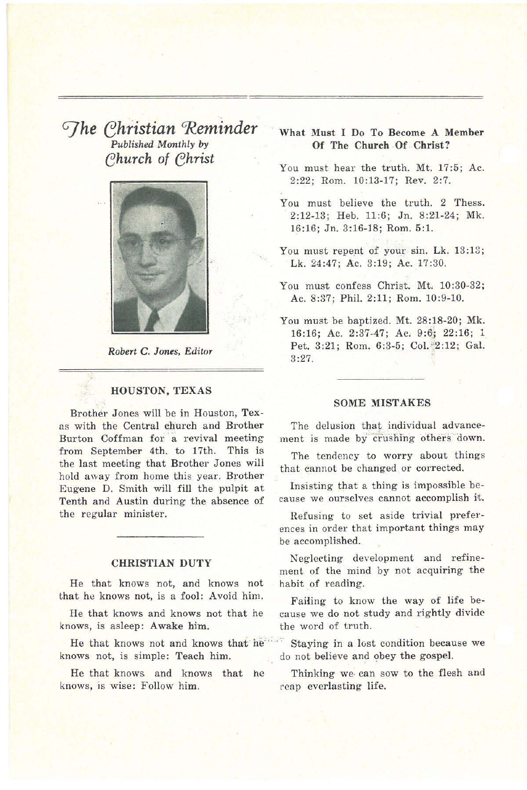*GJhe ehiistian 'Reminder Published Monthly* by *ehurch* of *ehrist*



*Robert* C. *Jones. Editor*

#### HOUSTON, TEXAS

Brother Jones will be in Houston, Texas with the Central church and Brother Burton Coffman for a revival meeting from September 4th. to 17th. This is the last meeting that Brother Jones will hold away from home this year. Brother Eugene D. Smith will fill the pulpit at Tenth and Austin during the absence of the regular minister.

## CHRISTIAN DUTY

He that knows not, and knows not that he knows not, is a fool: Avoid him.

He that knows and knows not that he knows, is asleep: Awake him.

He that knows not and knows that he knows not, is simple: Teach him.

He that knows and knows that he knows, is wise: Follow him.

## What Must I Do To Become A Member Of The Church Of Christ?

You must hear the truth. Mt. 17:5; Ac. 2:22; Rom. 10:13-17; Rev. 2:7.

You must believe the truth. 2 Thess. 2:12-13; Heb. 11:6; In. 8:21-24; Mk. 16:16; In. 3:16-18; Rom. 5:1.

You must repent of your sin. Lk. 13:13; Lk. 24:47; Ac. 3:19; Ac. 17:30.

You must confess Christ. Mt. 10:30-32; Ac. 8:37; Phil. 2:11; Rom. 10:9-10.

You must be baptized. Mt. 28:18-20; Mk. 16:16; Ac. 2:37-47; Ac, 9:6; 22:16; 1. Pet. 3:21; Rom. 6:3-5; Col. 2:12; Gal. 3:27.

#### SOME MISTAKES

The delusion that individual advancement is made by crushing others down.

The tendency to worry about things that cannot be changed or corrected.

Insisting that a thing is impossible because we ourselves cannot accomplish it.

Refusing to set aside trivial preferences in order that important things may be accomplished.

Neglecting development and refinement of the mind by not acquiring the habit of reading.

Failing to know the way of life because we do not study and rightly divide the word of truth.

Staying in a lost condition because we do not believe and obey the gospel.

Thinking we can sow to the flesh and reap everlasting life.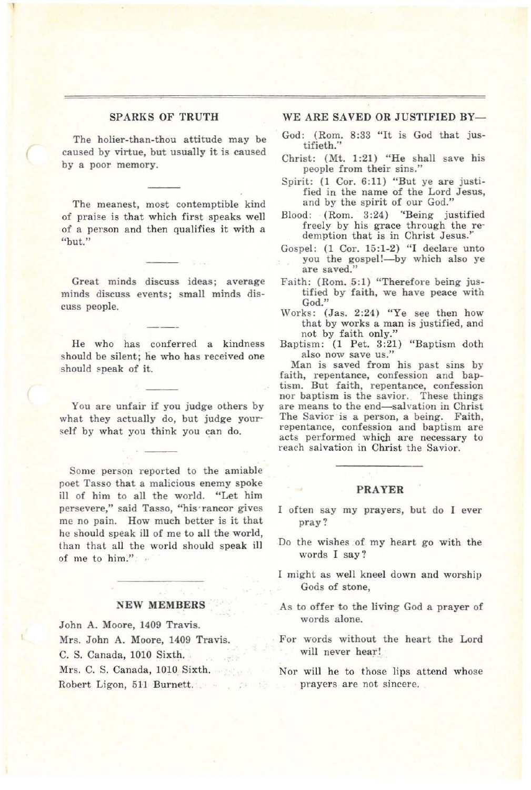#### SPARKS OF TRUTH

The holier-than-thou attitude may be caused by virtue, but usually it is caused by a poor memory.

(

The meanest, most contemptible kind of praise is that which first speaks well of a person and then qualifies it with a "but."

Great minds discuss ideas; average minds discuss events; small minds discuss people.

He who has conferred a kindness should be silent; he who has received one should speak of it.

You are unfair if you judge others by what they actually do. but judge yourself by what you think you can do.

Some person reported to the amiable poet Tasso that a malicious enemy spoke ill of him to all the world. "Let him persevere," said Tasso, "his rancor gives me no pain. How much better is it that he should speak ill of me to all the world, than that all the world should speak ill of me to him."

#### NEW MEMBERS

John A. Moore, 1409 Travis. Mrs. John A. Moore, 1409 Travis. C. S. Canada, 1010 Sixth. Mrs. C. S. Canada, 1010 Sixth. Robert Ligon, 511 Burnett.

#### WE ARE SAVED OR JUSTIFIED BY-

- God: (Rom. 8:33 "It is God that justifieth."
- Christ: (Mt. 1:21) "He shall save his people from their sins."
- Spirit: (l Cor. 6:11) "But ye are justified in the name of the Lord Jesus, and by the spirit of our God,"
- Blood: (Rom. 3:24) "Being justified freely by his grace through the re- demption that is in Christ Jesus." demption that is in Christ Jesus."<br>Gospel: (1 Cor. 15:1-2) "I declare unto
- you the gospel!-- by which also ye are saved."
- Faith: (Rom. 5:1) "Therefore being justified by faith, we have peace with God."
- Works: (Jas. 2:24) "Ye see then how that by works a man is justified, and not by faith only."
- Baptism: (1 Pet. 3:21) "Baptism doth also now save us."

Man is saved from his past sins by faith, repentance, confession and baptism. But faith, repentance, confession nor baptism is the savior, These things are means to the end-salvation in Christ The Savior is a person, a being. Faith, repentance, confession and baptism are acts performed which are necessary to reach salvation in Christ the Savior.

#### PRAYER

- often say my prayers, but do I ever pray?
- Do the wishes of my heart go with the words I say?
- might as well kneel down and worship Gods of stone,
- As to offer to the living God a prayer of words alone.
- For words without the heart the Lord will never hear!
- Nor will he to those lips attend whose prayers are not sincere.